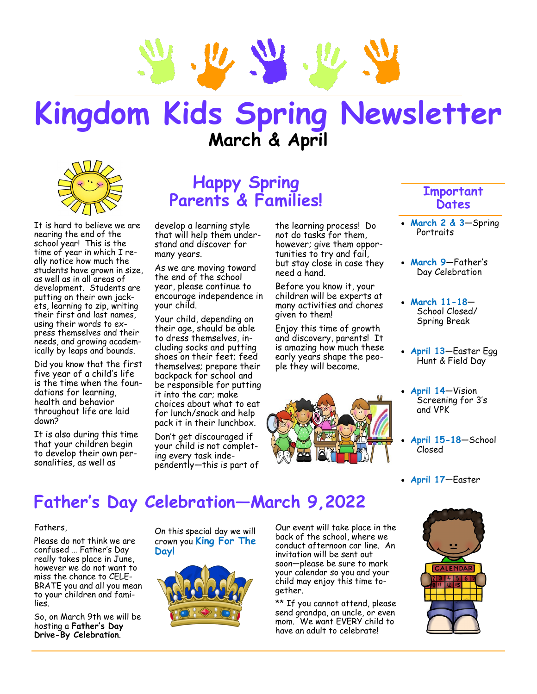

# **Kingdom Kids Spring Newsletter March & April**



It is hard to believe we are nearing the end of the school year! This is the time of year in which I really notice how much the students have grown in size, as well as in all areas of development. Students are putting on their own jackets, learning to zip, writing their first and last names, using their words to express themselves and their needs, and growing academically by leaps and bounds.

Did you know that the first five year of a child's life is the time when the foundations for learning, health and behavior throughout life are laid down?

It is also during this time that your children begin to develop their own personalities, as well as

### **Happy Spring Parents & Families!**

develop a learning style that will help them understand and discover for many years.

As we are moving toward the end of the school year, please continue to encourage independence in your child.

Your child, depending on their age, should be able to dress themselves, including socks and putting shoes on their feet; feed themselves; prepare their backpack for school and be responsible for putting it into the car; make choices about what to eat for lunch/snack and help pack it in their lunchbox.

Don't get discouraged if your child is not completing every task independently—this is part of the learning process! Do not do tasks for them, however; give them opportunities to try and fail, but stay close in case they need a hand.

Before you know it, your children will be experts at many activities and chores given to them!

Enjoy this time of growth and discovery, parents! It is amazing how much these early years shape the people they will become.



### **Important Dates**

- **March 2 & 3**—Spring **Portraits**
- **March 9**—Father's Day Celebration
- **March 11-18** School Closed/ Spring Break
- **April 13**—Easter Egg Hunt & Field Day
- **April 14**—Vision Screening for 3's and VPK
- **April 15-18**—School Closed
- **April 17**—Easter

## **Father's Day Celebration—March 9,2022**

#### Fathers,

Please do not think we are confused … Father's Day really takes place in June, however we do not want to miss the chance to CELE-BRATE you and all you mean to your children and families.

So, on March 9th we will be hosting a **Father's Day Drive-By Celebration**.

On this special day we will crown you **King For The Day!** 



Our event will take place in the back of the school, where we conduct afternoon car line. An invitation will be sent out soon—please be sure to mark your calendar so you and your child may enjoy this time together.

\*\* If you cannot attend, please send grandpa, an uncle, or even mom. We want EVERY child to have an adult to celebrate!